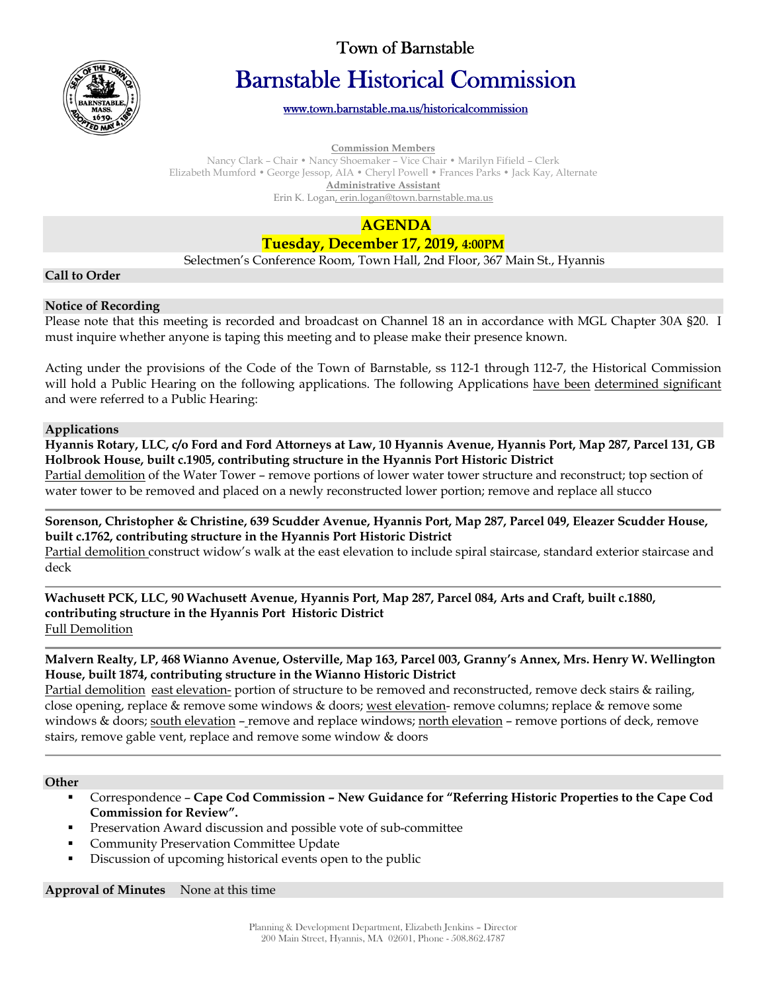

# Town of Barnstable

# Barnstable Historical Commission

www.town.barnstable.ma.us/historicalcommission

**Commission Members** 

Nancy Clark – Chair • Nancy Shoemaker – Vice Chair • Marilyn Fifield – Clerk Elizabeth Mumford • George Jessop, AIA • Cheryl Powell • Frances Parks • Jack Kay, Alternate **Administrative Assistant**  Erin K. Logan, erin.logan@town.barnstable.ma.us

 **AGENDA** 

## **Tuesday, December 17, 2019, 4:00PM**

Selectmen's Conference Room, Town Hall, 2nd Floor, 367 Main St., Hyannis

## **Call to Order**

### **Notice of Recording**

Please note that this meeting is recorded and broadcast on Channel 18 an in accordance with MGL Chapter 30A §20. I must inquire whether anyone is taping this meeting and to please make their presence known.

Acting under the provisions of the Code of the Town of Barnstable, ss 112-1 through 112-7, the Historical Commission will hold a Public Hearing on the following applications. The following Applications have been determined significant and were referred to a Public Hearing:

#### **Applications**

**Hyannis Rotary, LLC, c/o Ford and Ford Attorneys at Law, 10 Hyannis Avenue, Hyannis Port, Map 287, Parcel 131, GB Holbrook House, built c.1905, contributing structure in the Hyannis Port Historic District** 

Partial demolition of the Water Tower – remove portions of lower water tower structure and reconstruct; top section of water tower to be removed and placed on a newly reconstructed lower portion; remove and replace all stucco

**Sorenson, Christopher & Christine, 639 Scudder Avenue, Hyannis Port, Map 287, Parcel 049, Eleazer Scudder House, built c.1762, contributing structure in the Hyannis Port Historic District** 

Partial demolition construct widow's walk at the east elevation to include spiral staircase, standard exterior staircase and deck

**Wachusett PCK, LLC, 90 Wachusett Avenue, Hyannis Port, Map 287, Parcel 084, Arts and Craft, built c.1880, contributing structure in the Hyannis Port Historic District**  Full Demolition

#### **Malvern Realty, LP, 468 Wianno Avenue, Osterville, Map 163, Parcel 003, Granny's Annex, Mrs. Henry W. Wellington House, built 1874, contributing structure in the Wianno Historic District**

Partial demolition east elevation- portion of structure to be removed and reconstructed, remove deck stairs & railing, close opening, replace & remove some windows & doors; west elevation- remove columns; replace & remove some windows & doors; south elevation – remove and replace windows; north elevation – remove portions of deck, remove stairs, remove gable vent, replace and remove some window & doors

#### **Other**

- Correspondence **Cape Cod Commission New Guidance for "Referring Historic Properties to the Cape Cod Commission for Review".**
- Preservation Award discussion and possible vote of sub-committee
- Community Preservation Committee Update
- Discussion of upcoming historical events open to the public

**Approval of Minutes** None at this time